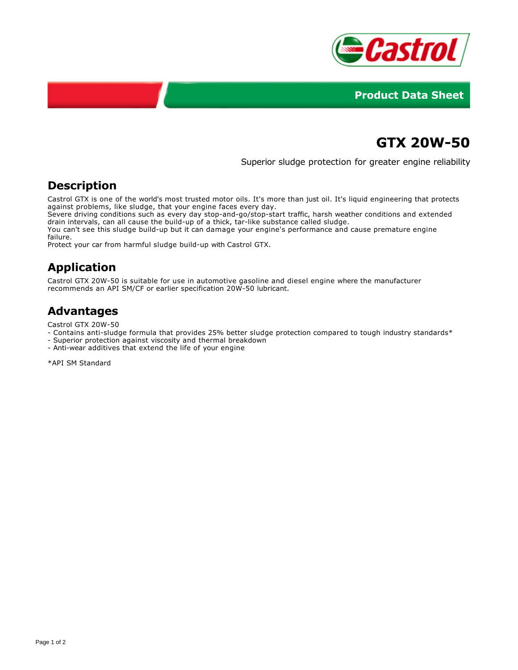



# **GTX 20W-50**

Superior sludge protection for greater engine reliability

#### **Description**

Castrol GTX is one of the world's most trusted motor oils. It's more than just oil. It's liquid engineering that protects against problems, like sludge, that your engine faces every day.

Severe driving conditions such as every day stop-and-go/stop-start traffic, harsh weather conditions and extended drain intervals, can all cause the build-up of a thick, tar-like substance called sludge.

You can't see this sludge build-up but it can damage your engine's performance and cause premature engine failure.

Protect your car from harmful sludge build-up with Castrol GTX.

## **Application**

Castrol GTX 20W-50 is suitable for use in automotive gasoline and diesel engine where the manufacturer recommends an API SM/CF or earlier specification 20W-50 lubricant.

## **Advantages**

Castrol GTX 20W-50

- Contains anti-sludge formula that provides 25% better sludge protection compared to tough industry standards\*
- Superior protection against viscosity and thermal breakdown
- Anti-wear additives that extend the life of your engine

\*API SM Standard